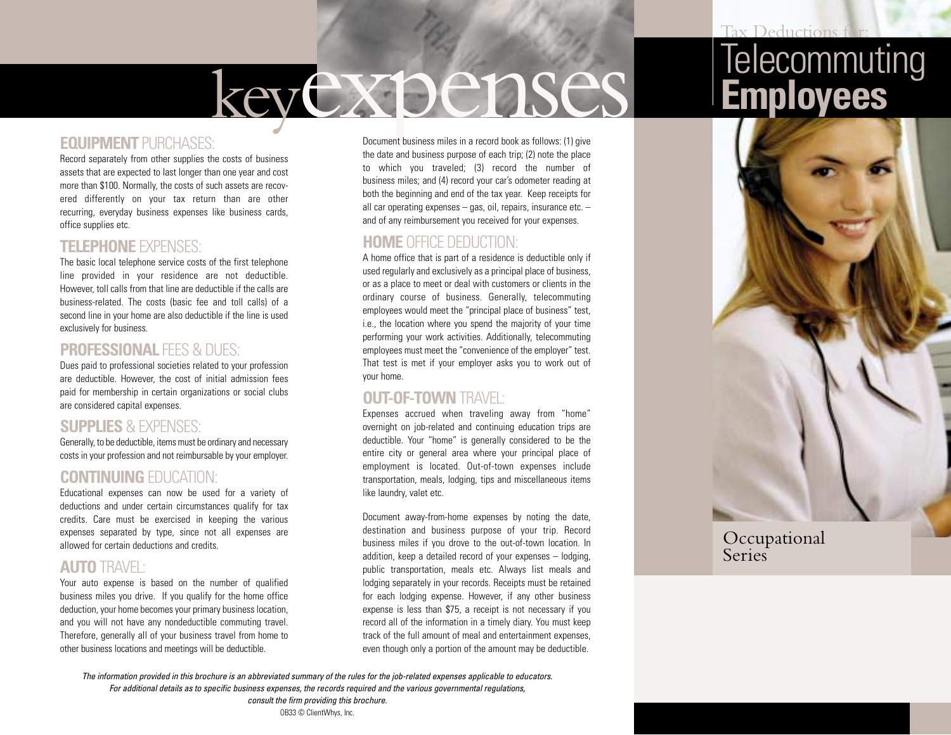# keyexpenses

#### **EQUIPMENT** PURCHASES:

Record separately from other supplies the costs of business assets that are expected to last longer than one year and cost more than \$100. Normally, the costs of such assets are recovered differently on your tax return than are other recurring, everyday business expenses like business cards, office supplies etc.

#### **TELEPHONE** EXPENSES:

The basic local telephone service costs of the first telephone line provided in your residence are not deductible. However, toll calls from that line are deductible if the calls are business-related. The costs (basic fee and toll calls) of a second line in your home are also deductible if the line is used exclusively for business.

#### **PROFESSIONAL FFES & DUES:**

Dues paid to professional societies related to your profession are deductible. However, the cost of initial admission fees paid for membership in certain organizations or social clubs are considered capital expenses.

#### **SUPPLIES** & EXPENSES:

Generally, to be deductible, items must be ordinary and necessary costs in your profession and not reimbursable by your employer.

#### **CONTINUING** EDUCATION:

Educational expenses can now be used for a variety of deductions and under certain circumstances qualify for tax credits. Care must be exercised in keeping the various expenses separated by type, since not all expenses are allowed for certain deductions and credits.

#### **AUTO** TRAVEL:

Your auto expense is based on the number of qualified business miles you drive. If you qualify for the home office deduction, your home becomes your primary business location, and you will not have any nondeductible commuting travel. Therefore, generally all of your business travel from home to other business locations and meetings will be deductible.

Document business miles in a record book as follows: (1) give the date and business purpose of each trip; (2) note the place to which you traveled; (3) record the number of business miles; and (4) record your car's odometer reading at both the beginning and end of the tax year. Keep receipts for all car operating expenses – gas, oil, repairs, insurance etc. – and of any reimbursement you received for your expenses.

#### **HOME** OFFICE DEDUCTION:

A home office that is part of a residence is deductible only if used regularly and exclusively as a principal place of business, or as a place to meet or deal with customers or clients in the ordinary course of business. Generally, telecommuting employees would meet the "principal place of business" test, i.e., the location where you spend the majority of your time performing your work activities. Additionally, telecommuting employees must meet the "convenience of the employer" test. That test is met if your employer asks you to work out of your home.

#### **OUT-OF-TOWN** TRAVEL:

Expenses accrued when traveling away from "home" overnight on job-related and continuing education trips are deductible. Your "home" is generally considered to be the entire city or general area where your principal place of employment is located. Out-of-town expenses include transportation, meals, lodging, tips and miscellaneous items like laundry, valet etc.

Document away-from-home expenses by noting the date, destination and business purpose of your trip. Record business miles if you drove to the out-of-town location. In addition, keep a detailed record of your expenses – lodging, public transportation, meals etc. Always list meals and lodging separately in your records. Receipts must be retained for each lodging expense. However, if any other business expense is less than \$75, a receipt is not necessary if you record all of the information in a timely diary. You must keep track of the full amount of meal and entertainment expenses, even though only a portion of the amount may be deductible.

# **Telecommuting Employees**



#### Occupational **Series**

*The information provided in this brochure is an abbreviated summary of the rules for the job-related expenses applicable to educators. For additional details as to specific business expenses, the records required and the various governmental regulations, consult the firm providing this brochure.*

OB33 © ClientWhys, Inc.